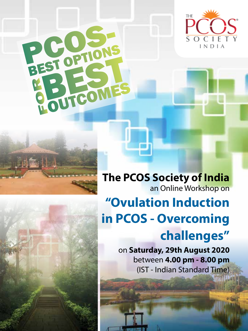



P.C.O.S.

EST ONES



**The PCOS Society of India**  an Online Workshop on **"Ovulation Induction in PCOS - Overcoming challenges"**

> on **Saturday, 29th August 2020**  between **4.00 pm - 8.00 pm**  (IST - Indian Standard Time)